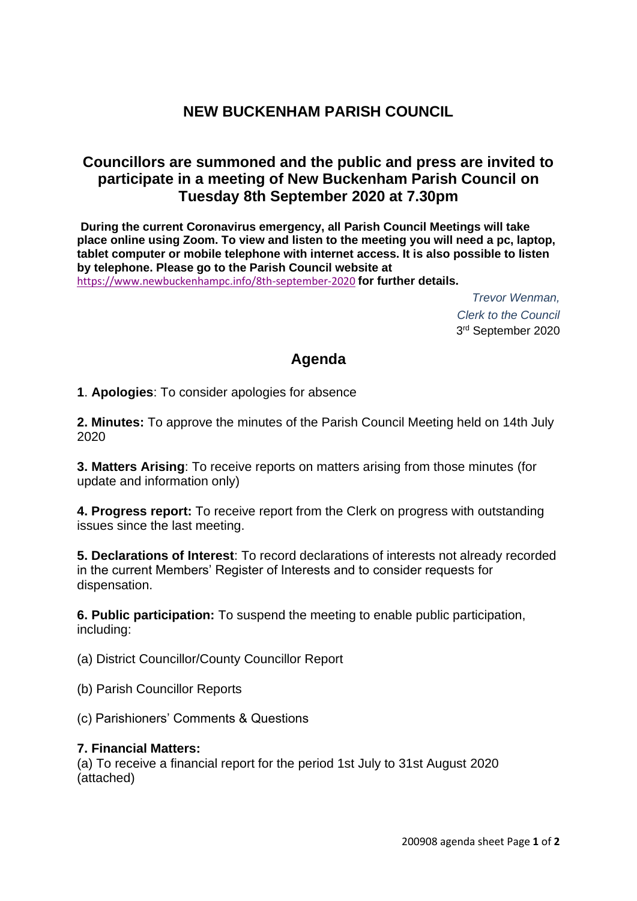## **NEW BUCKENHAM PARISH COUNCIL**

### **Councillors are summoned and the public and press are invited to participate in a meeting of New Buckenham Parish Council on Tuesday 8th September 2020 at 7.30pm**

**During the current Coronavirus emergency, all Parish Council Meetings will take place online using Zoom. To view and listen to the meeting you will need a pc, laptop, tablet computer or mobile telephone with internet access. It is also possible to listen by telephone. Please go to the Parish Council website at**  <https://www.newbuckenhampc.info/8th-september-2020> **for further details.** 

> *Trevor Wenman, Clerk to the Council* 3 rd September 2020

# **Agenda**

**1**. **Apologies**: To consider apologies for absence

**2. Minutes:** To approve the minutes of the Parish Council Meeting held on 14th July 2020

**3. Matters Arising**: To receive reports on matters arising from those minutes (for update and information only)

**4. Progress report:** To receive report from the Clerk on progress with outstanding issues since the last meeting.

**5. Declarations of Interest**: To record declarations of interests not already recorded in the current Members' Register of Interests and to consider requests for dispensation.

**6. Public participation:** To suspend the meeting to enable public participation, including:

(a) District Councillor/County Councillor Report

- (b) Parish Councillor Reports
- (c) Parishioners' Comments & Questions

#### **7. Financial Matters:**

(a) To receive a financial report for the period 1st July to 31st August 2020 (attached)